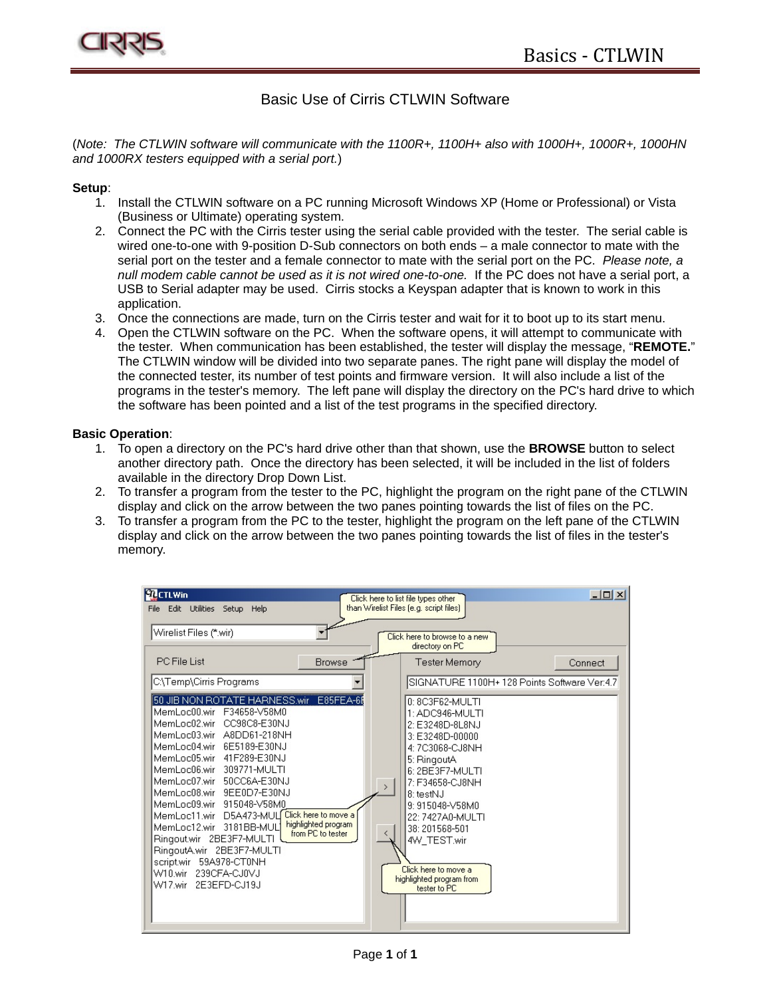

## Basic Use of Cirris CTLWIN Software

(*Note: The CTLWIN software will communicate with the 1100R+, 1100H+ also with 1000H+, 1000R+, 1000HN and 1000RX testers equipped with a serial port.*)

## **Setup**:

- 1. Install the CTLWIN software on a PC running Microsoft Windows XP (Home or Professional) or Vista (Business or Ultimate) operating system.
- 2. Connect the PC with the Cirris tester using the serial cable provided with the tester. The serial cable is wired one-to-one with 9-position D-Sub connectors on both ends – a male connector to mate with the serial port on the tester and a female connector to mate with the serial port on the PC. *Please note, a null modem cable cannot be used as it is not wired one-to-one.* If the PC does not have a serial port, a USB to Serial adapter may be used. Cirris stocks a Keyspan adapter that is known to work in this application.
- 3. Once the connections are made, turn on the Cirris tester and wait for it to boot up to its start menu.
- 4. Open the CTLWIN software on the PC. When the software opens, it will attempt to communicate with the tester. When communication has been established, the tester will display the message, "**REMOTE.**" The CTLWIN window will be divided into two separate panes. The right pane will display the model of the connected tester, its number of test points and firmware version. It will also include a list of the programs in the tester's memory. The left pane will display the directory on the PC's hard drive to which the software has been pointed and a list of the test programs in the specified directory.

## **Basic Operation**:

- 1. To open a directory on the PC's hard drive other than that shown, use the **BROWSE** button to select another directory path. Once the directory has been selected, it will be included in the list of folders available in the directory Drop Down List.
- 2. To transfer a program from the tester to the PC, highlight the program on the right pane of the CTLWIN display and click on the arrow between the two panes pointing towards the list of files on the PC.
- 3. To transfer a program from the PC to the tester, highlight the program on the left pane of the CTLWIN display and click on the arrow between the two panes pointing towards the list of files in the tester's memory.

| <b>MCTLWin</b>                                                                                                                                                                                                                                                                                                                                                                                                                                                                                                                                                               | Click here to list file types other                                                                                                                                                                                                                                                                                       | $ \Box$ $\times$ $\Box$                      |
|------------------------------------------------------------------------------------------------------------------------------------------------------------------------------------------------------------------------------------------------------------------------------------------------------------------------------------------------------------------------------------------------------------------------------------------------------------------------------------------------------------------------------------------------------------------------------|---------------------------------------------------------------------------------------------------------------------------------------------------------------------------------------------------------------------------------------------------------------------------------------------------------------------------|----------------------------------------------|
| Edit Utilities<br>Setup Help<br>File                                                                                                                                                                                                                                                                                                                                                                                                                                                                                                                                         | than Wirelist Files [e.g. script files]                                                                                                                                                                                                                                                                                   |                                              |
|                                                                                                                                                                                                                                                                                                                                                                                                                                                                                                                                                                              |                                                                                                                                                                                                                                                                                                                           |                                              |
| Wirelist Files (*.wir)                                                                                                                                                                                                                                                                                                                                                                                                                                                                                                                                                       | Click here to browse to a new                                                                                                                                                                                                                                                                                             |                                              |
|                                                                                                                                                                                                                                                                                                                                                                                                                                                                                                                                                                              | directory on PC                                                                                                                                                                                                                                                                                                           |                                              |
| PC File List<br><b>Browse</b>                                                                                                                                                                                                                                                                                                                                                                                                                                                                                                                                                | Tester Memory                                                                                                                                                                                                                                                                                                             | Connect                                      |
| C:\Temp\Cirris Programs                                                                                                                                                                                                                                                                                                                                                                                                                                                                                                                                                      |                                                                                                                                                                                                                                                                                                                           | SIGNATURE 1100H+ 128 Points Software Ver:4.7 |
| 50 JIB NON ROTATE HARNESS.wir E85FEA-66<br>MemLoc00.wir F34658-V58M0<br>MemLoc02.wir<br>CC98C8-E30NJ<br>MemLoc03.wir A8DD61-218NH<br>MemLoc04.wir 6E5189-E30NJ<br>MemLoc05.wir 41F289-E30NJ<br>MemLoc06.wir 309771-MULTI<br>MemLoc07.wir 50CC6A-E30NJ<br>MemLoc08.wir 9EE0D7-E30NJ<br>MemLoc09.wir 915048-V58M0<br>Click here to move a<br>MemLoc11.wir D5A473-MUL<br>highlighted program<br>MemLoc12.wir 3181BB-MUL<br>from PC to tester<br>Ringout.wir 2BE3F7-MULTI<br>RingoutA.wir 2BE3F7-MULTI<br>scriptwir 59A978-CT0NH<br>W10.wir 239CFA-CJ0VJ<br>W17.wir 2E3EFD-CJ19J | 0: 8C3F62-MULTI<br>1: ADC946-MULTI<br>2: E3248D-8L8NJ<br>3: E3248D-00000<br>4: 7C3068-CJ8NH<br>5: RingoutA<br>6: 2BE3F7-MULTI<br>7: F34658-CJ8NH<br>$\rightarrow$<br>8: testNJ<br>9: 915048-V58M0<br>22: 7427A0-MULTI<br>38:201568-501<br>4W_TEST.wir<br>Click here to move a<br>highlighted program from<br>tester to PC |                                              |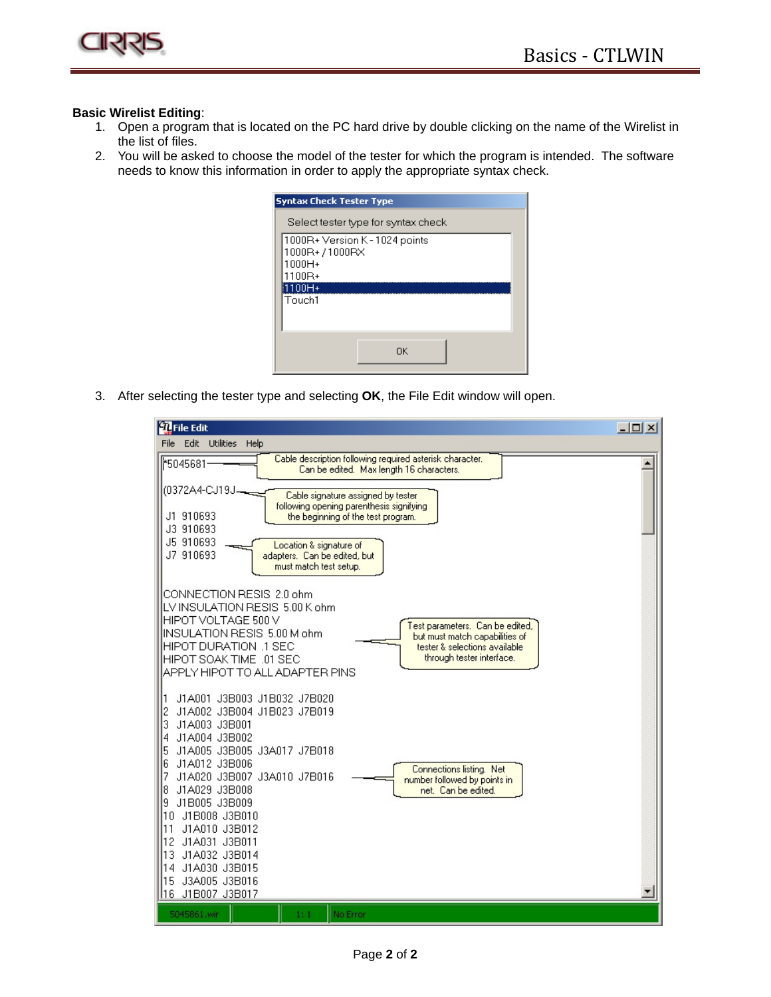

## **Basic Wirelist Editing**:

- 1. Open a program that is located on the PC hard drive by double clicking on the name of the Wirelist in the list of files.
- 2. You will be asked to choose the model of the tester for which the program is intended. The software needs to know this information in order to apply the appropriate syntax check.

| <b>Syntax Check Tester Type</b>                                               |  |  |  |  |
|-------------------------------------------------------------------------------|--|--|--|--|
| Select tester type for syntax check                                           |  |  |  |  |
| 1000R+ Version K - 1024 points<br>1000R+/1000RX<br>1000H+<br>1100R+<br>1100H+ |  |  |  |  |
| Touch1<br>OK                                                                  |  |  |  |  |

3. After selecting the tester type and selecting **OK**, the File Edit window will open.

| <b>D</b> File Edit                                                                                                                                                                                                                                                                                                                         | $ \Box$ $\times$ |
|--------------------------------------------------------------------------------------------------------------------------------------------------------------------------------------------------------------------------------------------------------------------------------------------------------------------------------------------|------------------|
| Edit Utilities<br>File<br>Help                                                                                                                                                                                                                                                                                                             |                  |
| Cable description following required asterisk character.<br>16045°∦'<br>Can be edited. Max length 16 characters.                                                                                                                                                                                                                           |                  |
| (0372A4-CJ19J<br>Cable signature assigned by tester<br>following opening parenthesis signifying                                                                                                                                                                                                                                            |                  |
| J1 910693<br>the beginning of the test program.<br>J3 910693                                                                                                                                                                                                                                                                               |                  |
| J5 910693<br>Location & signature of<br>J7 910693<br>adapters. Can be edited, but<br>must match test setup.                                                                                                                                                                                                                                |                  |
| CONNECTION RESIS 2.0 ohm<br>LV INSULATION RESIS 5.00 K ohm<br>HIPOT VOLTAGE 500 V<br>Test parameters. Can be edited,<br>INSULATION RESIS 5.00 M ohm<br>but must match capabilities of<br>HIPOT DURATION .1 SEC<br>tester & selections available<br>through tester interface.<br>HIPOT SOAK TIME .01 SEC<br>APPLY HIPOT TO ALL ADAPTER PINS |                  |
| J1A001 J3B003 J1B032 J7B020<br>J1A002 J3B004 J1B023 J7B019<br>3<br>J1A003 J3B001<br>J1A004 J3B002<br>4<br>J1A005 J3B005 J3A017 J7B018<br>5                                                                                                                                                                                                 |                  |
| J1A012 J3B006<br>6<br>Connections listing. Net<br>J1A020 J3B007 J3A010 J7B016<br>number followed by points in<br>J1A029 J3B008<br>net. Can be edited.<br>8<br>J1B005 J3B009<br>9<br>J1B008 J3B010<br>10<br>J1A010 J3B012<br>l11<br>12<br>J1A031 J3B011<br>13<br>J1A032 J3B014                                                              |                  |
| 14<br>J1A030 J3B015<br>J3A005 J3B016<br>15<br>116<br>J1B007 J3B017                                                                                                                                                                                                                                                                         |                  |
| No Error<br>5045861.wir<br>1:1                                                                                                                                                                                                                                                                                                             |                  |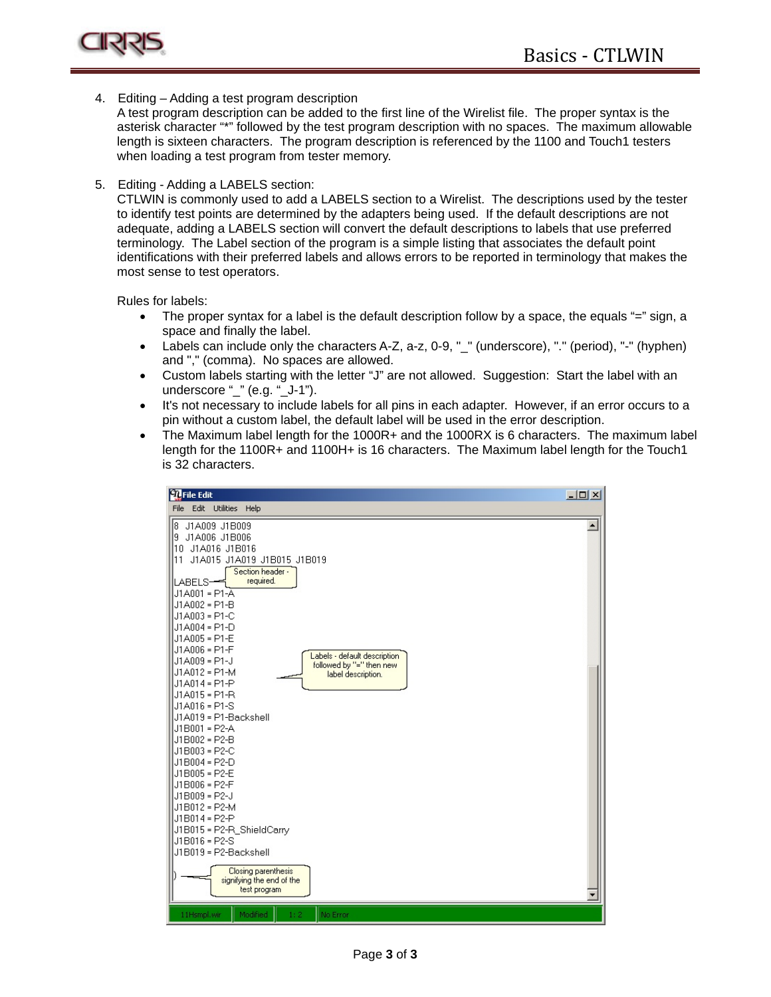

4. Editing – Adding a test program description

A test program description can be added to the first line of the Wirelist file. The proper syntax is the asterisk character "\*" followed by the test program description with no spaces. The maximum allowable length is sixteen characters. The program description is referenced by the 1100 and Touch1 testers when loading a test program from tester memory.

5. Editing - Adding a LABELS section:

CTLWIN is commonly used to add a LABELS section to a Wirelist. The descriptions used by the tester to identify test points are determined by the adapters being used. If the default descriptions are not adequate, adding a LABELS section will convert the default descriptions to labels that use preferred terminology. The Label section of the program is a simple listing that associates the default point identifications with their preferred labels and allows errors to be reported in terminology that makes the most sense to test operators.

Rules for labels:

- The proper syntax for a label is the default description follow by a space, the equals "=" sign, a space and finally the label.
- Labels can include only the characters A-Z, a-z, 0-9, "\_" (underscore), "." (period), "-" (hyphen) and "," (comma). No spaces are allowed.
- Custom labels starting with the letter "J" are not allowed. Suggestion: Start the label with an underscore "\_" (e.g. "\_J-1").
- It's not necessary to include labels for all pins in each adapter. However, if an error occurs to a pin without a custom label, the default label will be used in the error description.
- The Maximum label length for the 1000R+ and the 1000RX is 6 characters. The maximum label length for the 1100R+ and 1100H+ is 16 characters. The Maximum label length for the Touch1 is 32 characters.

| <b>D</b> File Edit                                                                                                                                                                                                                                                                                                                                                                                                                                                                                                                                                                                                                                                                                                                                 | $-12X$           |
|----------------------------------------------------------------------------------------------------------------------------------------------------------------------------------------------------------------------------------------------------------------------------------------------------------------------------------------------------------------------------------------------------------------------------------------------------------------------------------------------------------------------------------------------------------------------------------------------------------------------------------------------------------------------------------------------------------------------------------------------------|------------------|
| File Edit Utilities Help                                                                                                                                                                                                                                                                                                                                                                                                                                                                                                                                                                                                                                                                                                                           |                  |
| 8 J1A009 J1B009<br>9 J1A006 J1B006<br>10 J1A016 J1B016<br>11 J1A015 J1A019 J1B015 J1B019<br>Section header -<br>required.<br>LABELS-<br>$J1A001 = P1-A$<br>J1A002 = P1-B<br>J1A003 = P1-C<br>J1A004 = P1-D<br>J1A005 = P1-E<br>J1A006 = P1-F<br>Labels - default description<br>$J1A009 = P1-J$<br>followed by "=" then new<br>J1A012 = P1-M<br>label description.<br>$J1A014 = P1-P$<br>$J1A015 = P1-R$<br>$J1A016 = P1-S$<br>J1A019 = P1-Backshell<br>$J1B001 = P2-A$<br>J1B002 = P2-B<br>J1B003 = P2-C<br>$J1B004 = P2-D$<br>J1B005 = P2-E<br>J1B006 = P2-F<br>$J1B009 = P2-J$<br>J1B012 = P2-M<br>$J1B014 = P2 - P$<br>J1B015 = P2-R ShieldCarry<br>J1B016 = P2-S<br>J1B019 = P2-Backshell<br>Closing parenthesis<br>signifying the end of the | $\blacktriangle$ |
| test program                                                                                                                                                                                                                                                                                                                                                                                                                                                                                                                                                                                                                                                                                                                                       |                  |
| No Error<br>11Hsmpl.wir<br>Modified<br>1:2                                                                                                                                                                                                                                                                                                                                                                                                                                                                                                                                                                                                                                                                                                         |                  |